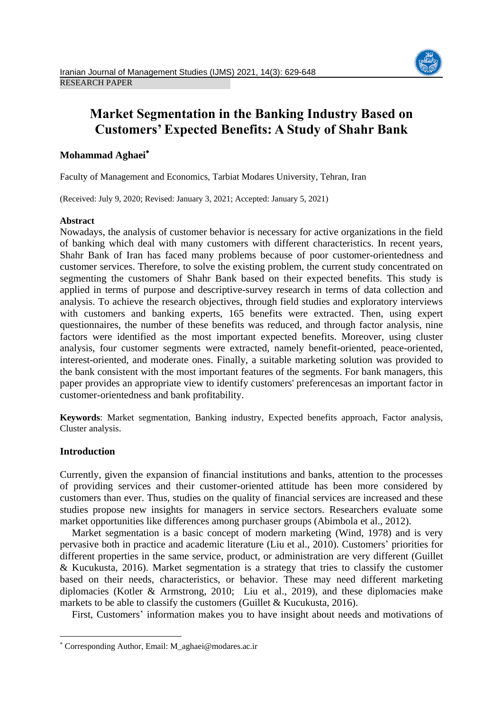

# **Market Segmentation in the Banking Industry Based on Customers' Expected Benefits: A Study of Shahr Bank**

# **Mohammad Aghaei**

Faculty of Management and Economics, Tarbiat Modares University, Tehran, Iran

(Received: July 9, 2020; Revised: January 3, 2021; Accepted: January 5, 2021)

# **Abstract**

Nowadays, the analysis of customer behavior is necessary for active organizations in the field of banking which deal with many customers with different characteristics. In recent years, Shahr Bank of Iran has faced many problems because of poor customer-orientedness and customer services. Therefore, to solve the existing problem, the current study concentrated on segmenting the customers of Shahr Bank based on their expected benefits. This study is applied in terms of purpose and descriptive-survey research in terms of data collection and analysis. To achieve the research objectives, through field studies and exploratory interviews with customers and banking experts, 165 benefits were extracted. Then, using expert questionnaires, the number of these benefits was reduced, and through factor analysis, nine factors were identified as the most important expected benefits. Moreover, using cluster analysis, four customer segments were extracted, namely benefit-oriented, peace-oriented, interest-oriented, and moderate ones. Finally, a suitable marketing solution was provided to the bank consistent with the most important features of the segments. For bank managers, this paper provides an appropriate view to identify customers' preferencesas an important factor in customer-orientedness and bank profitability.

**Keywords**: Market segmentation, Banking industry, Expected benefits approach, Factor analysis, Cluster analysis.

# **Introduction**

**.** 

<span id="page-0-0"></span>Currently, given the expansion of financial institutions and banks, attention to the processes of providing services and their customer-oriented attitude has been more considered by customers than ever. Thus, studies on the quality of financial services are increased and these studies propose new insights for managers in service sectors. Researchers evaluate some market opportunities like differences among purchaser groups [\(Abimbola et al., 2012\)](#page-16-0).

Market segmentation is a basic concept of modern marketing [\(Wind, 1978\)](#page-18-0) and is very pervasive both in practice and academic literature [\(Liu et al.,](#page-18-1) 2010). Customers' priorities for different properties in the same service, product, or administration are very different [\(Guillet](#page-17-0)  & [Kucukusta, 2016\)](#page-17-0). Market segmentation is a strategy that tries to classify the customer based on their needs, characteristics, or behavior. These may need different marketing diplomacies (Kotler & [Armstrong, 2010;](#page-17-1) Liu [et al.,](#page-17-2) 2019), and these diplomacies make markets to be able to classify the customers (Guillet  $& Kucukusta, 2016$ ).

First, Customers' information makes you to have insight about needs and motivations of

Corresponding Author, Email: M\_aghaei@modares.ac.ir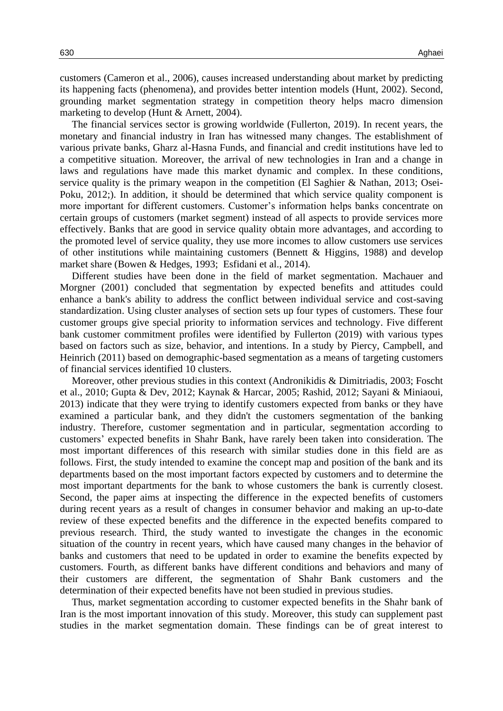customers [\(Cameron](#page-16-1) et al., 2006), causes increased understanding about market by predicting its happening facts (phenomena), and provides better intention models [\(Hunt, 2002\)](#page-17-3). Second, grounding market segmentation strategy in competition theory helps macro dimension marketing to develop (Hunt & [Arnett, 2004\)](#page-17-4).

The financial services sector is growing worldwide [\(Fullerton, 2019\)](#page-17-5). In recent years, the monetary and financial industry in Iran has witnessed many changes. The establishment of various private banks, Gharz al-Hasna Funds, and financial and credit institutions have led to a competitive situation. Moreover, the arrival of new technologies in Iran and a change in laws and regulations have made this market dynamic and complex. In these conditions, service quality is the primary weapon in the competition [\(El Saghier & Nathan, 2013;](#page-16-2) [Osei-](#page-18-2)[Poku, 2012;](#page-18-2)). In addition, it should be determined that which service quality component is more important for different customers. Customer's information helps banks concentrate on certain groups of customers (market segment) instead of all aspects to provide services more effectively. Banks that are good in service quality obtain more advantages, and according to the promoted level of service quality, they use more incomes to allow customers use services of other institutions while maintaining customers (Bennett & [Higgins, 1988\)](#page-16-3) and develop market share (Bowen & [Hedges, 1993;](#page-16-4) [Esfidani et al.,](#page-17-6) 2014).

Different studies have been done in the field of market segmentation. Machauer and Morgner (2001) concluded that segmentation by expected benefits and attitudes could enhance a bank's ability to address the conflict between individual service and cost-saving standardization. Using cluster analyses of section sets up four types of customers. These four customer groups give special priority to information services and technology. Five different bank customer commitment profiles were identified by Fullerton (2019) with various types based on factors such as size, behavior, and intentions. In a study by [Piercy, Campbell, and](#page-18-3)  [Heinrich \(2011\)](#page-18-3) based on demographic-based segmentation as a means of targeting customers of financial services identified 10 clusters.

Moreover, other previous studies in this context (Andronikidis & [Dimitriadis, 2003;](#page-16-5) [Foscht](#page-17-7)  [et al., 2010;](#page-17-7) [Gupta & Dev, 2012;](#page-17-8) [Kaynak &](#page-17-9) Harcar, 2005; [Rashid, 2012;](#page-18-3) Sayani & [Miniaoui,](#page-18-4)  [2013\)](#page-18-4) indicate that they were trying to identify customers expected from banks or they have examined a particular bank, and they didn't the customers segmentation of the banking industry. Therefore, customer segmentation and in particular, segmentation according to customers' expected benefits in Shahr Bank, have rarely been taken into consideration. The most important differences of this research with similar studies done in this field are as follows. First, the study intended to examine the concept map and position of the bank and its departments based on the most important factors expected by customers and to determine the most important departments for the bank to whose customers the bank is currently closest. Second, the paper aims at inspecting the difference in the expected benefits of customers during recent years as a result of changes in consumer behavior and making an up-to-date review of these expected benefits and the difference in the expected benefits compared to previous research. Third, the study wanted to investigate the changes in the economic situation of the country in recent years, which have caused many changes in the behavior of banks and customers that need to be updated in order to examine the benefits expected by customers. Fourth, as different banks have different conditions and behaviors and many of their customers are different, the segmentation of Shahr Bank customers and the determination of their expected benefits have not been studied in previous studies.

Thus, market segmentation according to customer expected benefits in the Shahr bank of Iran is the most important innovation of this study. Moreover, this study can supplement past studies in the market segmentation domain. These findings can be of great interest to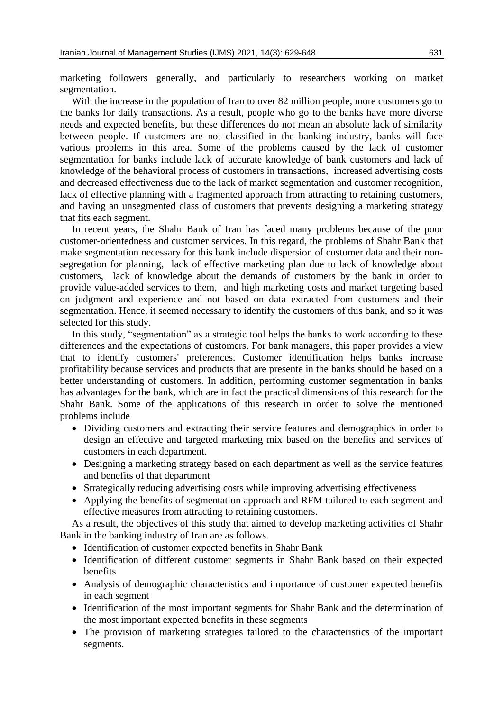marketing followers generally, and particularly to researchers working on market segmentation.

With the increase in the population of Iran to over 82 million people, more customers go to the banks for daily transactions. As a result, people who go to the banks have more diverse needs and expected benefits, but these differences do not mean an absolute lack of similarity between people. If customers are not classified in the banking industry, banks will face various problems in this area. Some of the problems caused by the lack of customer segmentation for banks include lack of accurate knowledge of bank customers and lack of knowledge of the behavioral process of customers in transactions, increased advertising costs and decreased effectiveness due to the lack of market segmentation and customer recognition, lack of effective planning with a fragmented approach from attracting to retaining customers, and having an unsegmented class of customers that prevents designing a marketing strategy that fits each segment.

In recent years, the Shahr Bank of Iran has faced many problems because of the poor customer-orientedness and customer services. In this regard, the problems of Shahr Bank that make segmentation necessary for this bank include dispersion of customer data and their nonsegregation for planning, lack of effective marketing plan due to lack of knowledge about customers, lack of knowledge about the demands of customers by the bank in order to provide value-added services to them, and high marketing costs and market targeting based on judgment and experience and not based on data extracted from customers and their segmentation. Hence, it seemed necessary to identify the customers of this bank, and so it was selected for this study.

In this study, "segmentation" as a strategic tool helps the banks to work according to these differences and the expectations of customers. For bank managers, this paper provides a view that to identify customers' preferences. Customer identification helps banks increase profitability because services and products that are presente in the banks should be based on a better understanding of customers. In addition, performing customer segmentation in banks has advantages for the bank, which are in fact the practical dimensions of this research for the Shahr Bank. Some of the applications of this research in order to solve the mentioned problems include

- Dividing customers and extracting their service features and demographics in order to design an effective and targeted marketing mix based on the benefits and services of customers in each department.
- Designing a marketing strategy based on each department as well as the service features and benefits of that department
- Strategically reducing advertising costs while improving advertising effectiveness
- Applying the benefits of segmentation approach and RFM tailored to each segment and effective measures from attracting to retaining customers.

As a result, the objectives of this study that aimed to develop marketing activities of Shahr Bank in the banking industry of Iran are as follows.

- <span id="page-2-0"></span>• Identification of customer expected benefits in Shahr Bank
- <span id="page-2-1"></span> Identification of different customer segments in Shahr Bank based on their expected benefits
- <span id="page-2-2"></span> Analysis of demographic characteristics and importance of customer expected benefits in each segment
- <span id="page-2-3"></span> Identification of the most important segments for Shahr Bank and the determination of the most important expected benefits in these segments
- The provision of marketing strategies tailored to the characteristics of the important segments.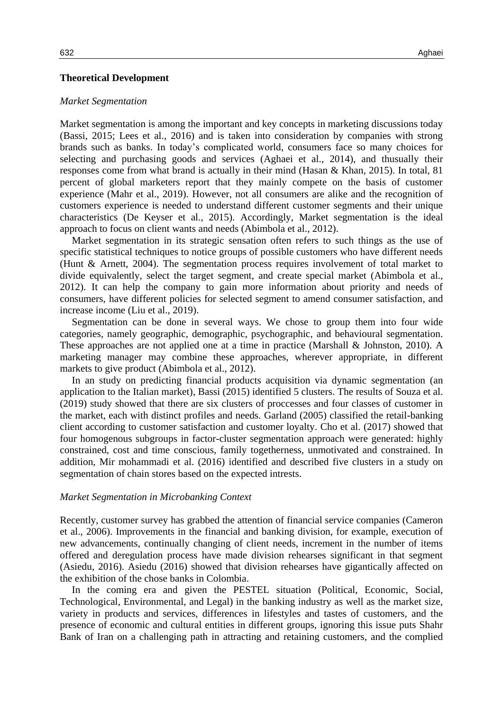## **Theoretical Development**

### *Market Segmentation*

Market segmentation is among the important and key concepts in marketing discussions today [\(Bassi, 2015;](#page-16-6) Lees [et al.,](#page-17-2) 2016) and is taken into consideration by companies with strong brands such as banks. In today's complicated world, consumers face so many choices for selecting and purchasing goods and services [\(Aghaei](#page-16-7) et al., 2014), and thusually their responses come from what brand is actually in their mind (Hasan & [Khan, 2015\)](#page-17-10). In total, 81 percent of global marketers report that they mainly compete on the basis of customer experience [\(Mahr et al., 2019\)](#page-18-5). However, not all consumers are alike and the recognition of customers experience is needed to understand different customer segments and their unique characteristics [\(De Keyser](#page-16-8) et al., 2015). Accordingly, Market segmentation is the ideal approach to focus on client wants and needs [\(Abimbola et al.,](#page-16-0) 2012).

Market segmentation in its strategic sensation often refers to such things as the use of specific statistical techniques to notice groups of possible customers who have different needs [\(Hunt &](#page-17-4) Arnett, 2004). The segmentation process requires involvement of total market to divide equivalently, select the target segment, and create special market [\(Abimbola et al.,](#page-16-0)  [2012\)](#page-16-0). It can help the company to gain more information about priority and needs of consumers, have different policies for selected segment to amend consumer satisfaction, and increase income [\(Liu et al., 2019\)](#page-17-2).

Segmentation can be done in several ways. We chose to group them into four wide categories, namely geographic, demographic, psychographic, and behavioural segmentation. These approaches are not applied one at a time in practice (Marshall & [Johnston, 2010\)](#page-18-6). A marketing manager may combine these approaches, wherever appropriate, in different markets to give product [\(Abimbola et al., 2012\)](#page-16-0).

In an study on predicting financial products acquisition via dynamic segmentation (an application to the Italian market), Bassi (2015) identified 5 clusters. The results of Souza et al. (2019) study showed that there are six clusters of proccesses and four classes of customer in the market, each with distinct profiles and needs. Garland (2005) classified the retail-banking client according to customer satisfaction and customer loyalty. Cho et al. (2017) showed that four homogenous subgroups in factor-cluster segmentation approach were generated: highly constrained, cost and time conscious, family togetherness, unmotivated and constrained. In addition, Mir mohammadi et al. (2016) identified and described five clusters in a study on segmentation of chain stores based on the expected intrests.

#### *Market Segmentation in Microbanking Context*

Recently, customer survey has grabbed the attention of financial service companies (Cameron et al., 2006). Improvements in the financial and banking division, for example, execution of new advancements, continually changing of client needs, increment in the number of items offered and deregulation process have made division rehearses significant in that segment (Asiedu, 2016). Asiedu (2016) showed that division rehearses have gigantically affected on the exhibition of the chose banks in Colombia.

In the coming era and given the PESTEL situation (Political, Economic, Social, Technological, Environmental, and Legal) in the banking industry as well as the market size, variety in products and services, differences in lifestyles and tastes of customers, and the presence of economic and cultural entities in different groups, ignoring this issue puts Shahr Bank of Iran on a challenging path in attracting and retaining customers, and the complied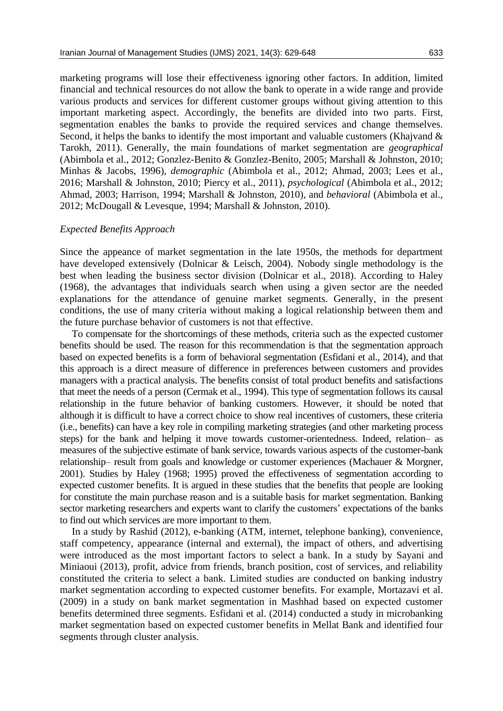marketing programs will lose their effectiveness ignoring other factors. In addition, limited financial and technical resources do not allow the bank to operate in a wide range and provide various products and services for different customer groups without giving attention to this important marketing aspect. Accordingly, the benefits are divided into two parts. First, segmentation enables the banks to provide the required services and change themselves. Second, it helps the banks to identify the most important and valuable customers [\(Khajvand &](#page-17-9) [Tarokh, 2011\)](#page-17-9). Generally, the main foundations of market segmentation are *geographical* [\(Abimbola et al., 2012;](#page-16-0) Gonzlez-Benito & Gonzlez-Benito, 2005; [Marshall & Johnston, 2010;](#page-18-6) Minhas & [Jacobs, 1996\)](#page-18-7), *demographic* [\(Abimbola et al., 2012;](#page-16-0) [Ahmad, 2003;](#page-16-9) [Lees et al.,](#page-17-2)  [2016;](#page-17-2) Marshall & [Johnston, 2010;](#page-18-6) [Piercy et al., 2011\)](#page-18-3), *psychological* [\(Abimbola et al., 2012;](#page-16-0) [Ahmad, 2003;](#page-16-9) [Harrison, 1994;](#page-17-11) Marshall & [Johnston, 2010\)](#page-18-6), and *behavioral* [\(Abimbola et al.,](#page-16-0)  [2012;](#page-16-0) McDougall & [Levesque, 1994;](#page-18-8) Marshall & [Johnston, 2010\)](#page-18-6).

## *Expected Benefits Approach*

Since the appeance of market segmentation in the late 1950s, the methods for department have developed extensively (Dolnicar & Leisch, 2004). Nobody single methodology is the best when leading the business sector division (Dolnicar et al., 2018). According to Haley (1968), the advantages that individuals search when using a given sector are the needed explanations for the attendance of genuine market segments. Generally, in the present conditions, the use of many criteria without making a logical relationship between them and the future purchase behavior of customers is not that effective.

To compensate for the shortcomings of these methods, criteria such as the expected customer benefits should be used. The reason for this recommendation is that the segmentation approach based on expected benefits is a form of behavioral segmentation [\(Esfidani et al., 2014\)](#page-17-6), and that this approach is a direct measure of difference in preferences between customers and provides managers with a practical analysis. The benefits consist of total product benefits and satisfactions that meet the needs of a person [\(Cermak](#page-16-1) et al., 1994). This type of segmentation follows its causal relationship in the future behavior of banking customers. However, it should be noted that although it is difficult to have a correct choice to show real incentives of customers, these criteria (i.e., benefits) can have a key role in compiling marketing strategies (and other marketing process steps) for the bank and helping it move towards customer-orientedness. Indeed, relation– as measures of the subjective estimate of bank service, towards various aspects of the customer-bank relationship– result from goals and knowledge or customer experiences (Machauer & Morgner, 2001). Studies by [Haley \(1968;](#page-17-12) [1995\)](#page-17-13) proved the effectiveness of segmentation according to expected customer benefits. It is argued in these studies that the benefits that people are looking for constitute the main purchase reason and is a suitable basis for market segmentation. Banking sector marketing researchers and experts want to clarify the customers' expectations of the banks to find out which services are more important to them.

In a study by [Rashid \(2012\),](#page-18-3) e-banking (ATM, internet, telephone banking), convenience, staff competency, appearance (internal and external), the impact of others, and advertising were introduced as the most important factors to select a bank. In a study by [Sayani and](#page-18-4)  [Miniaoui \(2013\),](#page-18-4) profit, advice from friends, branch position, cost of services, and reliability constituted the criteria to select a bank. Limited studies are conducted on banking industry market segmentation according to expected customer benefits. For example, [Mortazavi et al.](#page-18-9)  [\(2009\)](#page-18-9) in a study on bank market segmentation in Mashhad based on expected customer benefits determined three segments. [Esfidani et al. \(2014\)](#page-17-6) conducted a study in microbanking market segmentation based on expected customer benefits in Mellat Bank and identified four segments through cluster analysis.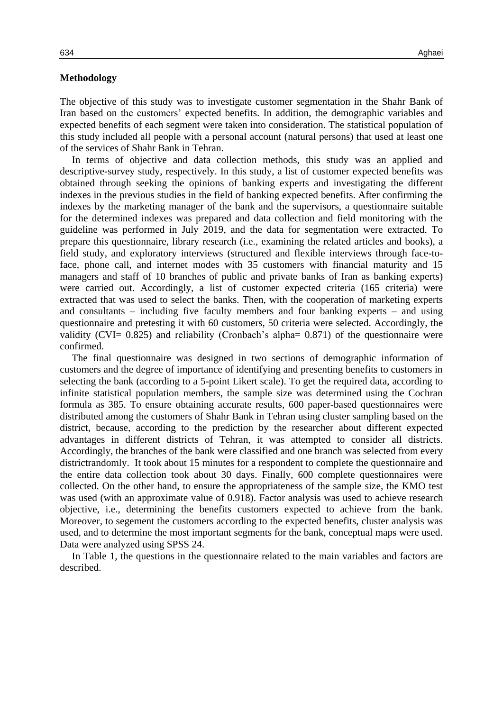## **Methodology**

The objective of this study was to investigate customer segmentation in the Shahr Bank of Iran based on the customers' expected benefits. In addition, the demographic variables and expected benefits of each segment were taken into consideration. The statistical population of this study included all people with a personal account (natural persons) that used at least one of the services of Shahr Bank in Tehran.

In terms of objective and data collection methods, this study was an applied and descriptive-survey study, respectively. In this study, a list of customer expected benefits was obtained through seeking the opinions of banking experts and investigating the different indexes in the previous studies in the field of banking expected benefits. After confirming the indexes by the marketing manager of the bank and the supervisors, a questionnaire suitable for the determined indexes was prepared and data collection and field monitoring with the guideline was performed in July 2019, and the data for segmentation were extracted. To prepare this questionnaire, library research (i.e., examining the related articles and books), a field study, and exploratory interviews (structured and flexible interviews through face-toface, phone call, and internet modes with 35 customers with financial maturity and 15 managers and staff of 10 branches of public and private banks of Iran as banking experts) were carried out. Accordingly, a list of customer expected criteria (165 criteria) were extracted that was used to select the banks. Then, with the cooperation of marketing experts and consultants – including five faculty members and four banking experts – and using questionnaire and pretesting it with 60 customers, 50 criteria were selected. Accordingly, the validity (CVI= 0.825) and reliability (Cronbach's alpha= 0.871) of the questionnaire were confirmed.

The final questionnaire was designed in two sections of demographic information of customers and the degree of importance of identifying and presenting benefits to customers in selecting the bank (according to a 5-point Likert scale). To get the required data, according to infinite statistical population members, the sample size was determined using the Cochran formula as 385. To ensure obtaining accurate results, 600 paper-based questionnaires were distributed among the customers of Shahr Bank in Tehran using cluster sampling based on the district, because, according to the prediction by the researcher about different expected advantages in different districts of Tehran, it was attempted to consider all districts. Accordingly, the branches of the bank were classified and one branch was selected from every districtrandomly. It took about 15 minutes for a respondent to complete the questionnaire and the entire data collection took about 30 days. Finally, 600 complete questionnaires were collected. On the other hand, to ensure the appropriateness of the sample size, the KMO test was used (with an approximate value of 0.918). Factor analysis was used to achieve research objective, i.e., determining the benefits customers expected to achieve from the bank. Moreover, to segement the customers according to the expected benefits, cluster analysis was used, and to determine the most important segments for the bank, conceptual maps were used. Data were analyzed using SPSS 24.

<span id="page-5-0"></span>In [Table 1,](#page-5-0) the questions in the questionnaire related to the main variables and factors are described.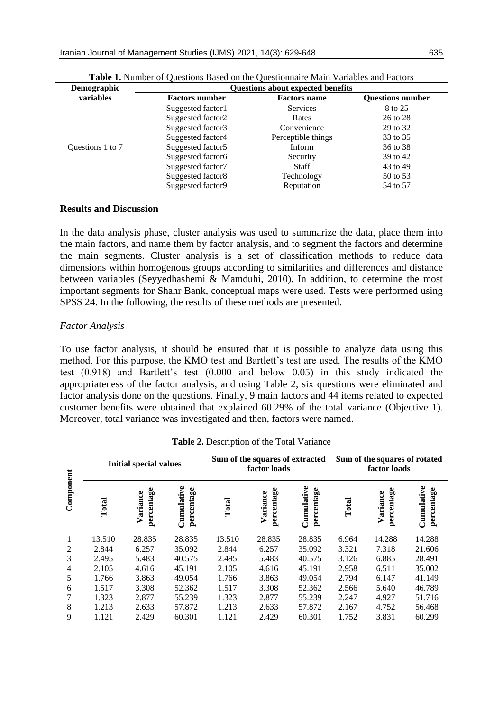| Demographic      | <b>Questions about expected benefits</b> |                     |                         |  |  |
|------------------|------------------------------------------|---------------------|-------------------------|--|--|
| variables        | <b>Factors number</b>                    | <b>Factors name</b> | <b>Ouestions number</b> |  |  |
|                  | Suggested factor1                        | <b>Services</b>     | 8 to 25                 |  |  |
|                  | Suggested factor2                        | Rates               | 26 to 28                |  |  |
|                  | Suggested factor3                        | Convenience         | 29 to 32                |  |  |
|                  | Suggested factor4                        | Perceptible things  | 33 to 35                |  |  |
| Questions 1 to 7 | Suggested factor5                        | Inform              | 36 to 38                |  |  |
|                  | Suggested factor6                        | Security            | 39 to 42                |  |  |
|                  | Suggested factor7                        | <b>Staff</b>        | 43 to 49                |  |  |
|                  | Suggested factor8                        | Technology          | 50 to 53                |  |  |
|                  | Suggested factor9                        | Reputation          | 54 to 57                |  |  |

**Table 1.** Number of Questions Based on the Questionnaire Main Variables and Factors

## **Results and Discussion**

In the data analysis phase, cluster analysis was used to summarize the data, place them into the main factors, and name them by factor analysis, and to segment the factors and determine the main segments. Cluster analysis is a set of classification methods to reduce data dimensions within homogenous groups according to similarities and differences and distance between variables [\(Seyyedhashemi &](#page-18-10) Mamduhi, 2010). In addition, to determine the most important segments for Shahr Bank, conceptual maps were used. Tests were performed using SPSS 24. In the following, the results of these methods are presented.

# *Factor Analysis*

To use factor analysis, it should be ensured that it is possible to analyze data using this method. For this purpose, the KMO test and Bartlett's test are used. The results of the KMO test (0.918) and Bartlett's test (0.000 and below 0.05) in this study indicated the appropriateness of the factor analysis, and using [Table](#page-6-0) 2, six questions were eliminated and factor analysis done on the questions. Finally, 9 main factors and 44 items related to expected customer benefits were obtained that explained 60.29% of the total variance [\(Objective 1\)](#page-2-0). Moreover, total variance was investigated and then, factors were named.

<span id="page-6-0"></span>

|           |        | <b>Initial special values</b> |                          | Sum of the squares of extracted<br>factor loads |                        | Sum of the squares of rotated<br>factor loads |       |                        |                          |
|-----------|--------|-------------------------------|--------------------------|-------------------------------------------------|------------------------|-----------------------------------------------|-------|------------------------|--------------------------|
| Component | Total  | percentage<br>Variance        | Cumulative<br>percentage | Total                                           | percentage<br>Variance | Cumulative<br>percentage                      | Total | percentage<br>Variance | Cumulative<br>percentage |
|           | 13.510 | 28.835                        | 28.835                   | 13.510                                          | 28.835                 | 28.835                                        | 6.964 | 14.288                 | 14.288                   |
| 2         | 2.844  | 6.257                         | 35.092                   | 2.844                                           | 6.257                  | 35.092                                        | 3.321 | 7.318                  | 21.606                   |
| 3         | 2.495  | 5.483                         | 40.575                   | 2.495                                           | 5.483                  | 40.575                                        | 3.126 | 6.885                  | 28.491                   |
| 4         | 2.105  | 4.616                         | 45.191                   | 2.105                                           | 4.616                  | 45.191                                        | 2.958 | 6.511                  | 35.002                   |
| 5         | 1.766  | 3.863                         | 49.054                   | 1.766                                           | 3.863                  | 49.054                                        | 2.794 | 6.147                  | 41.149                   |
| 6         | 1.517  | 3.308                         | 52.362                   | 1.517                                           | 3.308                  | 52.362                                        | 2.566 | 5.640                  | 46.789                   |
| 7         | 1.323  | 2.877                         | 55.239                   | 1.323                                           | 2.877                  | 55.239                                        | 2.247 | 4.927                  | 51.716                   |
| 8         | 1.213  | 2.633                         | 57.872                   | 1.213                                           | 2.633                  | 57.872                                        | 2.167 | 4.752                  | 56.468                   |
| 9         | 1.121  | 2.429                         | 60.301                   | 1.121                                           | 2.429                  | 60.301                                        | 1.752 | 3.831                  | 60.299                   |

## **Table 2.** Description of the Total Variance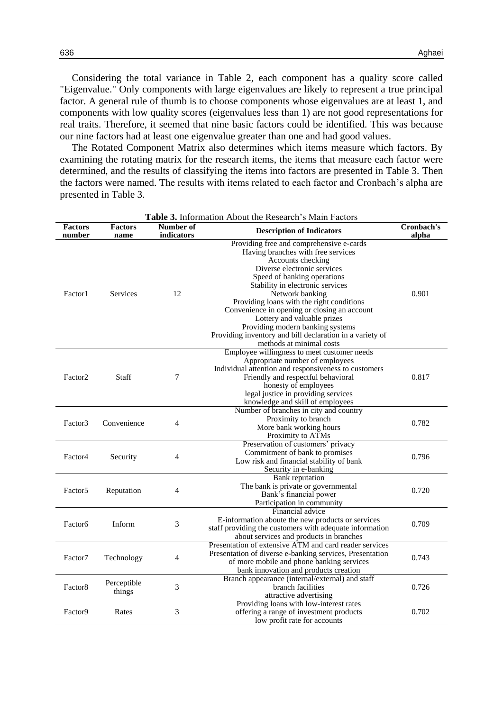Considering the total variance in Table 2, each component has a quality score called "Eigenvalue." Only components with large eigenvalues are likely to represent a true principal factor. A general rule of thumb is to choose components whose eigenvalues are at least 1, and components with low quality scores (eigenvalues less than 1) are not good representations for real traits. Therefore, it seemed that nine basic factors could be identified. This was because our nine factors had at least one eigenvalue greater than one and had good values.

The Rotated Component Matrix also determines which items measure which factors. By examining the rotating matrix for the research items, the items that measure each factor were determined, and the results of classifying the items into factors are presented in Table 3. Then the factors were named. The results with items related to each factor and Cronbach's alpha are presented in [Table 3.](#page-7-0)

<span id="page-7-0"></span>

| <b>Factors</b><br>number | <b>Factors</b><br>name | Number of<br>indicators | <b>Table 5:</b> Information Floodt the Research 5 Ividin I actors<br><b>Description of Indicators</b>                                                                                                                                                                                                                                                                                                                                                                            | Cronbach's<br>alpha |
|--------------------------|------------------------|-------------------------|----------------------------------------------------------------------------------------------------------------------------------------------------------------------------------------------------------------------------------------------------------------------------------------------------------------------------------------------------------------------------------------------------------------------------------------------------------------------------------|---------------------|
| Factor1                  | <b>Services</b>        | 12                      | Providing free and comprehensive e-cards<br>Having branches with free services<br>Accounts checking<br>Diverse electronic services<br>Speed of banking operations<br>Stability in electronic services<br>Network banking<br>Providing loans with the right conditions<br>Convenience in opening or closing an account<br>Lottery and valuable prizes<br>Providing modern banking systems<br>Providing inventory and bill declaration in a variety of<br>methods at minimal costs | 0.901               |
| Factor <sub>2</sub>      | Staff                  | 7                       | Employee willingness to meet customer needs<br>Appropriate number of employees<br>Individual attention and responsiveness to customers<br>Friendly and respectful behavioral<br>honesty of employees<br>legal justice in providing services<br>knowledge and skill of employees                                                                                                                                                                                                  | 0.817               |
| Factor3                  | Convenience            | 4                       | Number of branches in city and country<br>Proximity to branch<br>More bank working hours<br>Proximity to ATMs                                                                                                                                                                                                                                                                                                                                                                    | 0.782               |
| Factor4                  | Security               | 4                       | Preservation of customers' privacy<br>Commitment of bank to promises<br>Low risk and financial stability of bank<br>Security in e-banking                                                                                                                                                                                                                                                                                                                                        | 0.796               |
| Factor <sub>5</sub>      | Reputation             | 4                       | <b>Bank</b> reputation<br>The bank is private or governmental<br>Bank's financial power<br>Participation in community                                                                                                                                                                                                                                                                                                                                                            | 0.720               |
| Factor <sub>6</sub>      | Inform                 | 3                       | Financial advice<br>E-information aboute the new products or services<br>staff providing the customers with adequate information<br>about services and products in branches                                                                                                                                                                                                                                                                                                      | 0.709               |
| Factor7                  | Technology             | 4                       | Presentation of extensive ATM and card reader services<br>Presentation of diverse e-banking services, Presentation<br>of more mobile and phone banking services<br>bank innovation and products creation                                                                                                                                                                                                                                                                         | 0.743               |
| Factor <sub>8</sub>      | Perceptible<br>things  | 3                       | Branch appearance (internal/external) and staff<br>branch facilities<br>attractive advertising                                                                                                                                                                                                                                                                                                                                                                                   | 0.726               |
| Factor9                  | Rates                  | 3                       | Providing loans with low-interest rates<br>offering a range of investment products<br>low profit rate for accounts                                                                                                                                                                                                                                                                                                                                                               | 0.702               |

**Table 3.** Information About the Research's Main Factors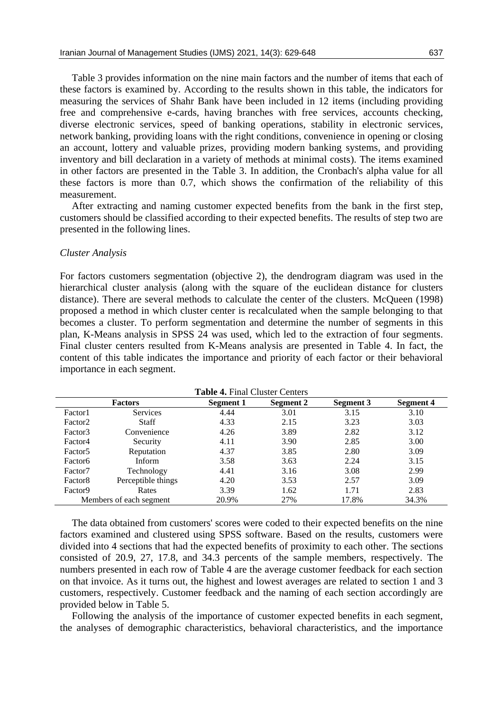Table 3 provides information on the nine main factors and the number of items that each of these factors is examined by. According to the results shown in this table, the indicators for measuring the services of Shahr Bank have been included in 12 items (including providing free and comprehensive e-cards, having branches with free services, accounts checking, diverse electronic services, speed of banking operations, stability in electronic services, network banking, providing loans with the right conditions, convenience in opening or closing an account, lottery and valuable prizes, providing modern banking systems, and providing inventory and bill declaration in a variety of methods at minimal costs). The items examined in other factors are presented in the Table 3. In addition, the Cronbach's alpha value for all these factors is more than 0.7, which shows the confirmation of the reliability of this measurement.

After extracting and naming customer expected benefits from the bank in the first step, customers should be classified according to their expected benefits. The results of step two are presented in the following lines.

#### *Cluster Analysis*

For factors customers segmentation [\(objective 2\)](#page-2-1), the dendrogram diagram was used in the hierarchical cluster analysis (along with the square of the euclidean distance for clusters distance). There are several methods to calculate the center of the clusters. [McQueen \(1998\)](#page-18-11) proposed a method in which cluster center is recalculated when the sample belonging to that becomes a cluster. To perform segmentation and determine the number of segments in this plan, K-Means analysis in SPSS 24 was used, which led to the extraction of four segments. Final cluster centers resulted from K-Means analysis are presented in [Table 4.](#page-8-0) In fact, the content of this table indicates the importance and priority of each factor or their behavioral importance in each segment.

<span id="page-8-0"></span>

| $\blacksquare$ $\blacksquare$ $\blacksquare$ $\blacksquare$ $\blacksquare$ $\blacksquare$ $\blacksquare$ $\blacksquare$ $\blacksquare$ $\blacksquare$ $\blacksquare$ $\blacksquare$ $\blacksquare$ $\blacksquare$ $\blacksquare$ $\blacksquare$ $\blacksquare$ $\blacksquare$ $\blacksquare$ $\blacksquare$ $\blacksquare$ $\blacksquare$ $\blacksquare$ $\blacksquare$ $\blacksquare$ $\blacksquare$ $\blacksquare$ $\blacksquare$ $\blacksquare$ $\blacksquare$ $\blacksquare$ $\blacks$ |                    |           |           |                  |                  |
|--------------------------------------------------------------------------------------------------------------------------------------------------------------------------------------------------------------------------------------------------------------------------------------------------------------------------------------------------------------------------------------------------------------------------------------------------------------------------------------------|--------------------|-----------|-----------|------------------|------------------|
| <b>Factors</b>                                                                                                                                                                                                                                                                                                                                                                                                                                                                             |                    | Segment 1 | Segment 2 | <b>Segment 3</b> | <b>Segment 4</b> |
| Factor1                                                                                                                                                                                                                                                                                                                                                                                                                                                                                    | <b>Services</b>    | 4.44      | 3.01      | 3.15             | 3.10             |
| Factor <sub>2</sub>                                                                                                                                                                                                                                                                                                                                                                                                                                                                        | <b>Staff</b>       | 4.33      | 2.15      | 3.23             | 3.03             |
| Factor3                                                                                                                                                                                                                                                                                                                                                                                                                                                                                    | Convenience        | 4.26      | 3.89      | 2.82             | 3.12             |
| Factor4                                                                                                                                                                                                                                                                                                                                                                                                                                                                                    | Security           | 4.11      | 3.90      | 2.85             | 3.00             |
| Factor <sub>5</sub>                                                                                                                                                                                                                                                                                                                                                                                                                                                                        | Reputation         | 4.37      | 3.85      | 2.80             | 3.09             |
| Factor <sub>6</sub>                                                                                                                                                                                                                                                                                                                                                                                                                                                                        | Inform             | 3.58      | 3.63      | 2.24             | 3.15             |
| Factor <sub>7</sub>                                                                                                                                                                                                                                                                                                                                                                                                                                                                        | Technology         | 4.41      | 3.16      | 3.08             | 2.99             |
| Factor <sub>8</sub>                                                                                                                                                                                                                                                                                                                                                                                                                                                                        | Perceptible things | 4.20      | 3.53      | 2.57             | 3.09             |
| Factor <sub>9</sub>                                                                                                                                                                                                                                                                                                                                                                                                                                                                        | Rates              | 3.39      | 1.62      | 1.71             | 2.83             |
| Members of each segment                                                                                                                                                                                                                                                                                                                                                                                                                                                                    |                    | 20.9%     | 27%       | 17.8%            | 34.3%            |

**Table 4.** Final Cluster Centers

The data obtained from customers' scores were coded to their expected benefits on the nine factors examined and clustered using SPSS software. Based on the results, customers were divided into 4 sections that had the expected benefits of proximity to each other. The sections consisted of 20.9, 27, 17.8, and 34.3 percents of the sample members, respectively. The numbers presented in each row of Table 4 are the average customer feedback for each section on that invoice. As it turns out, the highest and lowest averages are related to section 1 and 3 customers, respectively. Customer feedback and the naming of each section accordingly are provided below in Table 5.

Following the analysis of the importance of customer expected benefits in each segment, the analyses of demographic characteristics, behavioral characteristics, and the importance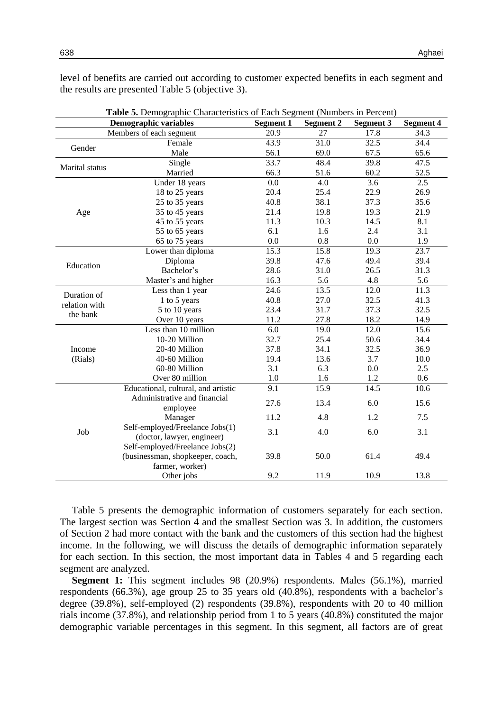level of benefits are carried out according to customer expected benefits in each segment and the results are presented [Table 5](#page-9-0) [\(objective 3\)](#page-2-2).

<span id="page-9-0"></span>

| Table 5. Demographic Characteristics of Each Segment (Numbers in Percent) |                                     |                  |                  |                  |                  |
|---------------------------------------------------------------------------|-------------------------------------|------------------|------------------|------------------|------------------|
|                                                                           | <b>Demographic variables</b>        | <b>Segment 1</b> | <b>Segment 2</b> | <b>Segment 3</b> | <b>Segment 4</b> |
|                                                                           | Members of each segment             | 20.9             | 27               | 17.8             | 34.3             |
| Gender                                                                    | Female                              | 43.9             | 31.0             | 32.5             | 34.4             |
|                                                                           | Male                                | 56.1             | 69.0             | 67.5             | 65.6             |
| <b>Marital</b> status                                                     | Single                              | 33.7             | 48.4             | 39.8             | 47.5             |
|                                                                           | Married                             | 66.3             | 51.6             | 60.2             | 52.5             |
|                                                                           | Under 18 years                      | 0.0              | 4.0              | 3.6              | $\overline{2.5}$ |
|                                                                           | 18 to 25 years                      | 20.4             | 25.4             | 22.9             | 26.9             |
|                                                                           | 25 to 35 years                      | 40.8             | 38.1             | 37.3             | 35.6             |
| Age                                                                       | 35 to 45 years                      | 21.4             | 19.8             | 19.3             | 21.9             |
|                                                                           | 45 to 55 years                      | 11.3             | 10.3             | 14.5             | 8.1              |
|                                                                           | 55 to 65 years                      | 6.1              | 1.6              | 2.4              | 3.1              |
|                                                                           | 65 to 75 years                      | 0.0              | 0.8              | 0.0              | 1.9              |
|                                                                           | Lower than diploma                  | 15.3             | 15.8             | 19.3             | 23.7             |
| Education                                                                 | Diploma                             | 39.8             | 47.6             | 49.4             | 39.4             |
|                                                                           | Bachelor's                          | 28.6             | 31.0             | 26.5             | 31.3             |
|                                                                           | Master's and higher                 | 16.3             | 5.6              | 4.8              | 5.6              |
| Duration of                                                               | Less than 1 year                    | 24.6             | 13.5             | 12.0             | 11.3             |
| relation with                                                             | 1 to 5 years                        | 40.8             | 27.0             | 32.5             | 41.3             |
| the bank                                                                  | 5 to 10 years                       | 23.4             | 31.7             | 37.3             | 32.5             |
|                                                                           | Over 10 years                       | 11.2             | 27.8             | 18.2             | 14.9             |
|                                                                           | Less than 10 million                | 6.0              | 19.0             | 12.0             | 15.6             |
|                                                                           | 10-20 Million                       | 32.7             | 25.4             | 50.6             | 34.4             |
| Income                                                                    | 20-40 Million                       | 37.8             | 34.1             | 32.5             | 36.9             |
| (Rials)                                                                   | 40-60 Million                       | 19.4             | 13.6             | 3.7              | 10.0             |
|                                                                           | 60-80 Million                       | 3.1              | 6.3              | 0.0              | 2.5              |
|                                                                           | Over 80 million                     | $1.0\,$          | 1.6              | 1.2              | 0.6              |
|                                                                           | Educational, cultural, and artistic | 9.1              | 15.9             | 14.5             | 10.6             |
|                                                                           | Administrative and financial        | 27.6             | 13.4             | 6.0              | 15.6             |
|                                                                           | employee                            |                  |                  |                  |                  |
|                                                                           | Manager                             | 11.2             | 4.8              | 1.2              | 7.5              |
| Job                                                                       | Self-employed/Freelance Jobs(1)     | 3.1              | 4.0              | 6.0              | 3.1              |
|                                                                           | (doctor, lawyer, engineer)          |                  |                  |                  |                  |
|                                                                           | Self-employed/Freelance Jobs(2)     |                  | 50.0             | 61.4             |                  |
|                                                                           | (businessman, shopkeeper, coach,    | 39.8             |                  |                  | 49.4             |
|                                                                           | farmer, worker)                     |                  |                  |                  |                  |
|                                                                           | Other jobs                          | 9.2              | 11.9             | 10.9             | 13.8             |

Table 5 presents the demographic information of customers separately for each section. The largest section was Section 4 and the smallest Section was 3. In addition, the customers of Section 2 had more contact with the bank and the customers of this section had the highest income. In the following, we will discuss the details of demographic information separately for each section. In this section, the most important data in [Tables 4](#page-8-0) and [5](#page-9-0) regarding each segment are analyzed.

**Segment 1:** This segment includes 98 (20.9%) respondents. Males (56.1%), married respondents (66.3%), age group 25 to 35 years old (40.8%), respondents with a bachelor's degree (39.8%), self-employed (2) respondents (39.8%), respondents with 20 to 40 million rials income (37.8%), and relationship period from 1 to 5 years (40.8%) constituted the major demographic variable percentages in this segment. In this segment, all factors are of great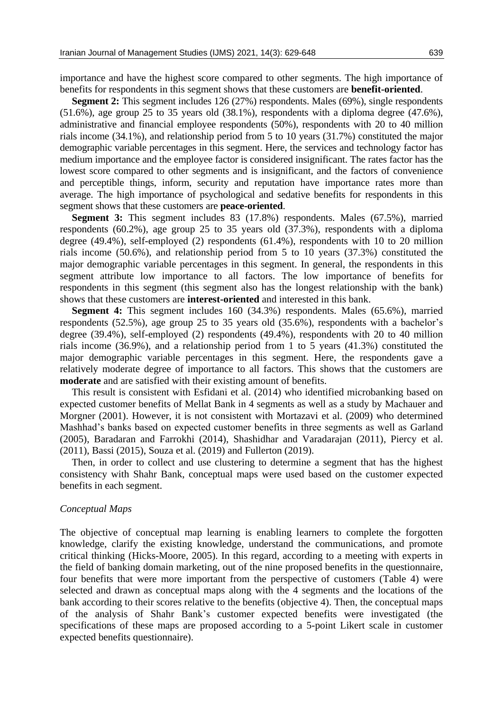importance and have the highest score compared to other segments. The high importance of benefits for respondents in this segment shows that these customers are **benefit-oriented**.

**Segment 2:** This segment includes 126 (27%) respondents. Males (69%), single respondents  $(51.6\%)$ , age group 25 to 35 years old  $(38.1\%)$ , respondents with a diploma degree  $(47.6\%)$ , administrative and financial employee respondents (50%), respondents with 20 to 40 million rials income (34.1%), and relationship period from 5 to 10 years (31.7%) constituted the major demographic variable percentages in this segment. Here, the services and technology factor has medium importance and the employee factor is considered insignificant. The rates factor has the lowest score compared to other segments and is insignificant, and the factors of convenience and perceptible things, inform, security and reputation have importance rates more than average. The high importance of psychological and sedative benefits for respondents in this segment shows that these customers are **peace-oriented**.

**Segment 3:** This segment includes 83 (17.8%) respondents. Males (67.5%), married respondents (60.2%), age group 25 to 35 years old (37.3%), respondents with a diploma degree (49.4%), self-employed (2) respondents (61.4%), respondents with 10 to 20 million rials income (50.6%), and relationship period from 5 to 10 years (37.3%) constituted the major demographic variable percentages in this segment. In general, the respondents in this segment attribute low importance to all factors. The low importance of benefits for respondents in this segment (this segment also has the longest relationship with the bank) shows that these customers are **interest-oriented** and interested in this bank.

**Segment 4:** This segment includes 160 (34.3%) respondents. Males (65.6%), married respondents (52.5%), age group 25 to 35 years old (35.6%), respondents with a bachelor's degree (39.4%), self-employed (2) respondents (49.4%), respondents with 20 to 40 million rials income (36.9%), and a relationship period from 1 to 5 years (41.3%) constituted the major demographic variable percentages in this segment. Here, the respondents gave a relatively moderate degree of importance to all factors. This shows that the customers are **moderate** and are satisfied with their existing amount of benefits.

This result is consistent with [Esfidani et al. \(2014\)](#page-17-6) who identified microbanking based on expected customer benefits of Mellat Bank in 4 segments as well as a study by [Machauer and](#page-18-12)  [Morgner \(2001\).](#page-18-12) However, it is not consistent with [Mortazavi](#page-18-9) et al. (2009) who determined Mashhad's banks based on expected customer benefits in three segments as well as [Garland](#page-17-14)  [\(2005\),](#page-17-14) [Baradaran and Farrokhi \(2014\),](#page-16-10) [Shashidhar and Varadarajan \(2011\),](#page-18-13) [Piercy et al.](#page-18-3)  [\(2011\)](#page-18-3), [Bassi \(2015\)](#page-16-6), Souza [et al. \(2019\)](#page-18-14) and [Fullerton \(2019\)](#page-17-5).

Then, in order to collect and use clustering to determine a segment that has the highest consistency with Shahr Bank, conceptual maps were used based on the customer expected benefits in each segment.

#### *Conceptual Maps*

The objective of conceptual map learning is enabling learners to complete the forgotten knowledge, clarify the existing knowledge, understand the communications, and promote critical thinking [\(Hicks-Moore, 2005\)](#page-17-15). In this regard, according to a meeting with experts in the field of banking domain marketing, out of the nine proposed benefits in the questionnaire, four benefits that were more important from the perspective of customers [\(Table 4\)](#page-8-0) were selected and drawn as conceptual maps along with the 4 segments and the locations of the bank according to their scores relative to the benefits [\(objective 4\)](#page-2-3). Then, the conceptual maps of the analysis of Shahr Bank's customer expected benefits were investigated (the specifications of these maps are proposed according to a 5-point Likert scale in customer expected benefits questionnaire).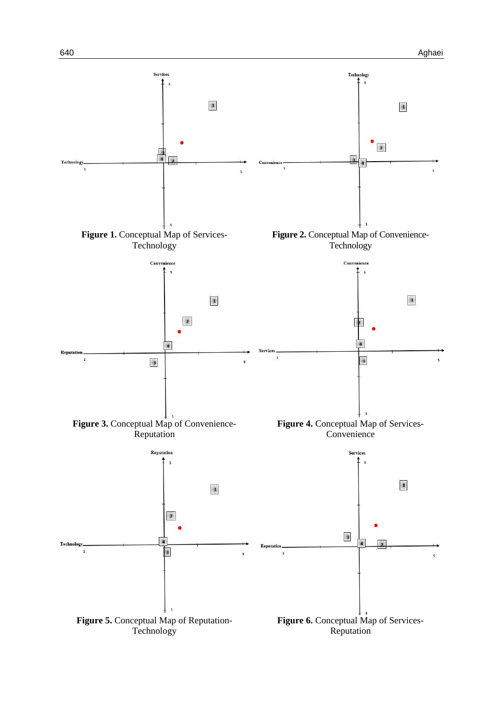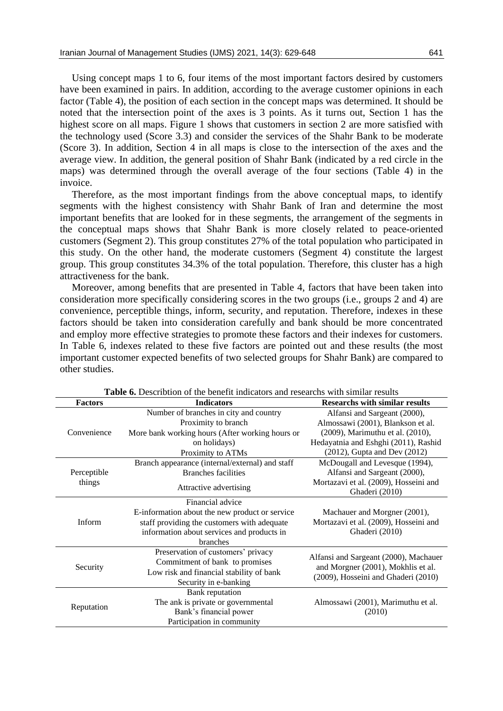Using concept maps 1 to 6, four items of the most important factors desired by customers have been examined in pairs. In addition, according to the average customer opinions in each factor (Table 4), the position of each section in the concept maps was determined. It should be noted that the intersection point of the axes is 3 points. As it turns out, Section 1 has the highest score on all maps. Figure 1 shows that customers in section 2 are more satisfied with the technology used (Score 3.3) and consider the services of the Shahr Bank to be moderate (Score 3). In addition, Section 4 in all maps is close to the intersection of the axes and the average view. In addition, the general position of Shahr Bank (indicated by a red circle in the maps) was determined through the overall average of the four sections (Table 4) in the invoice.

Therefore, as the most important findings from the above conceptual maps, to identify segments with the highest consistency with Shahr Bank of Iran and determine the most important benefits that are looked for in these segments, the arrangement of the segments in the conceptual maps shows that Shahr Bank is more closely related to peace-oriented customers (Segment 2). This group constitutes 27% of the total population who participated in this study. On the other hand, the moderate customers (Segment 4) constitute the largest group. This group constitutes 34.3% of the total population. Therefore, this cluster has a high attractiveness for the bank.

Moreover, among benefits that are presented in [Table 4,](#page-8-0) factors that have been taken into consideration more specifically considering scores in the two groups (i.e., groups 2 and 4) are convenience, perceptible things, inform, security, and reputation. Therefore, indexes in these factors should be taken into consideration carefully and bank should be more concentrated and employ more effective strategies to promote these factors and their indexes for customers. In [Table 6,](#page-12-0) indexes related to these five factors are pointed out and these results (the most important customer expected benefits of two selected groups for Shahr Bank) are compared to other studies.

<span id="page-12-0"></span>

| <b>Factors</b> | <b>Indicators</b>                               | <b>Researchs with similar results</b> |
|----------------|-------------------------------------------------|---------------------------------------|
|                | Number of branches in city and country          | Alfansi and Sargeant (2000),          |
|                | Proximity to branch                             | Almossawi (2001), Blankson et al.     |
| Convenience    | More bank working hours (After working hours or | (2009), Marimuthu et al. (2010),      |
|                | on holidays)                                    | Hedayatnia and Eshghi (2011), Rashid  |
|                | Proximity to ATMs                               | $(2012)$ , Gupta and Dev $(2012)$     |
|                | Branch appearance (internal/external) and staff | McDougall and Levesque (1994),        |
| Perceptible    | Branches facilities                             | Alfansi and Sargeant (2000),          |
| things         | Attractive advertising                          | Mortazavi et al. (2009), Hosseini and |
|                |                                                 | Ghaderi (2010)                        |
|                | Financial advice                                |                                       |
|                | E-information about the new product or service  | Machauer and Morgner (2001),          |
| Inform         | staff providing the customers with adequate     | Mortazavi et al. (2009), Hosseini and |
|                | information about services and products in      | Ghaderi (2010)                        |
|                | branches                                        |                                       |
|                | Preservation of customers' privacy              | Alfansi and Sargeant (2000), Machauer |
| Security       | Commitment of bank to promises                  | and Morgner (2001), Mokhlis et al.    |
|                | Low risk and financial stability of bank        | (2009), Hosseini and Ghaderi (2010)   |
|                | Security in e-banking                           |                                       |
|                | Bank reputation                                 |                                       |
|                | The ank is private or governmental              | Almossawi (2001), Marimuthu et al.    |
| Reputation     | Bank's financial power                          | (2010)                                |
|                | Participation in community                      |                                       |

**Table 6.** Describtion of the benefit indicators and researchs with similar results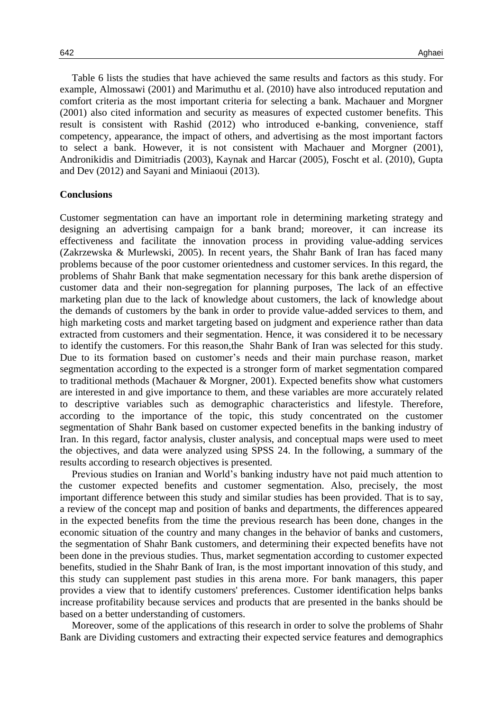Table 6 lists the studies that have achieved the same results and factors as this study. For example, Almossawi (2001) and Marimuthu et al. (2010) have also introduced reputation and comfort criteria as the most important criteria for selecting a bank. Machauer and Morgner (2001) also cited information and security as measures of expected customer benefits. This result is consistent with [Rashid \(2012\)](#page-18-3) who introduced e-banking, convenience, staff competency, appearance, the impact of others, and advertising as the most important factors to select a bank. However, it is not consistent with [Machauer and](#page-18-12) Morgner (2001), [Andronikidis and](#page-16-5) Dimitriadis (2003), [Kaynak and](#page-17-9) Harcar (2005), [Foscht et al.](#page-17-7) (2010), [Gupta](#page-17-8)  and [Dev \(2012\)](#page-17-8) and [Sayani and](#page-18-4) Miniaoui (2013).

### **Conclusions**

Customer segmentation can have an important role in determining marketing strategy and designing an advertising campaign for a bank brand; moreover, it can increase its effectiveness and facilitate the innovation process in providing value-adding services (Zakrzewska & [Murlewski, 2005\)](#page-19-0). In recent years, the Shahr Bank of Iran has faced many problems because of the poor customer orientedness and customer services. In this regard, the problems of Shahr Bank that make segmentation necessary for this bank arethe dispersion of customer data and their non-segregation for planning purposes, The lack of an effective marketing plan due to the lack of knowledge about customers, the lack of knowledge about the demands of customers by the bank in order to provide value-added services to them, and high marketing costs and market targeting based on judgment and experience rather than data extracted from customers and their segmentation. Hence, it was considered it to be necessary to identify the customers. For this reason,the Shahr Bank of Iran was selected for this study. Due to its formation based on customer's needs and their main purchase reason, market segmentation according to the expected is a stronger form of market segmentation compared to traditional methods (Machauer & [Morgner, 2001\)](#page-18-12). Expected benefits show what customers are interested in and give importance to them, and these variables are more accurately related to descriptive variables such as demographic characteristics and lifestyle. Therefore, according to the importance of the topic, this study concentrated on the customer segmentation of Shahr Bank based on customer expected benefits in the banking industry of Iran. In this regard, factor analysis, cluster analysis, and conceptual maps were used to meet the objectives, and data were analyzed using SPSS 24. In the following, a summary of the results according to research objectives is presented.

Previous studies on Iranian and World's banking industry have not paid much attention to the customer expected benefits and customer segmentation. Also, precisely, the most important difference between this study and similar studies has been provided. That is to say, a review of the concept map and position of banks and departments, the differences appeared in the expected benefits from the time the previous research has been done, changes in the economic situation of the country and many changes in the behavior of banks and customers, the segmentation of Shahr Bank customers, and determining their expected benefits have not been done in the previous studies. Thus, market segmentation according to customer expected benefits, studied in the Shahr Bank of Iran, is the most important innovation of this study, and this study can supplement past studies in this arena more. For bank managers, this paper provides a view that to identify customers' preferences. Customer identification helps banks increase profitability because services and products that are presented in the banks should be based on a better understanding of customers.

Moreover, some of the applications of this research in order to solve the problems of Shahr Bank are Dividing customers and extracting their expected service features and demographics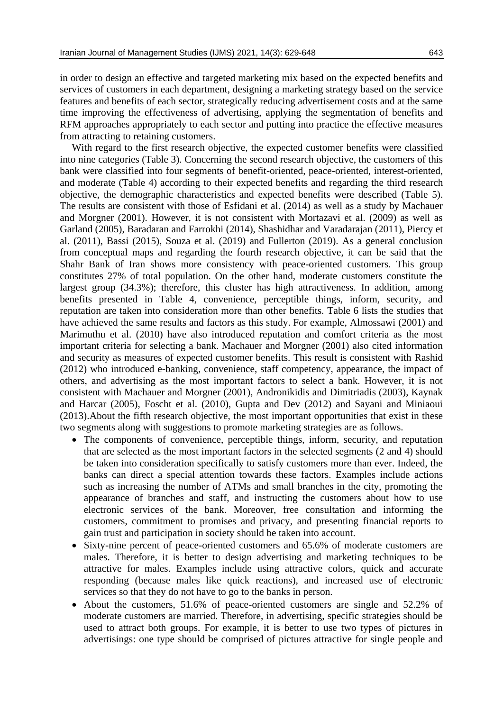in order to design an effective and targeted marketing mix based on the expected benefits and services of customers in each department, designing a marketing strategy based on the service features and benefits of each sector, strategically reducing advertisement costs and at the same time improving the effectiveness of advertising, applying the segmentation of benefits and RFM approaches appropriately to each sector and putting into practice the effective measures from attracting to retaining customers.

With regard to the first research objective, the expected customer benefits were classified into nine categories [\(Table 3\)](#page-7-0). Concerning the second research objective, the customers of this bank were classified into four segments of benefit-oriented, peace-oriented, interest-oriented, and moderate [\(Table 4\)](#page-8-0) according to their expected benefits and regarding the third research objective, the demographic characteristics and expected benefits were described [\(Table 5\)](#page-9-0). The results are consistent with those of Esfidani et al. (2014) as well as a study by Machauer and Morgner (2001). However, it is not consistent with Mortazavi et al. (2009) as well as Garland (2005), Baradaran and Farrokhi (2014), Shashidhar and Varadarajan (2011), Piercy et al. (2011), Bassi (2015), Souza et al. (2019) and Fullerton (2019). As a general conclusion from conceptual maps and regarding the fourth research objective, it can be said that the Shahr Bank of Iran shows more consistency with peace-oriented customers. This group constitutes 27% of total population. On the other hand, moderate customers constitute the largest group (34.3%); therefore, this cluster has high attractiveness. In addition, among benefits presented in [Table 4,](#page-8-0) convenience, perceptible things, inform, security, and reputation are taken into consideration more than other benefits. Table 6 lists the studies that have achieved the same results and factors as this study. For example, Almossawi (2001) and Marimuthu et al. (2010) have also introduced reputation and comfort criteria as the most important criteria for selecting a bank. Machauer and Morgner (2001) also cited information and security as measures of expected customer benefits. This result is consistent with [Rashid](#page-18-3)  [\(2012\)](#page-18-3) who introduced e-banking, convenience, staff competency, appearance, the impact of others, and advertising as the most important factors to select a bank. However, it is not consistent with Machauer and Morgner (2001), Andronikidis and Dimitriadis (2003), Kaynak and Harcar (2005), Foscht et al. (2010), Gupta and Dev (2012) and Sayani and Miniaoui (2013).About the [fifth research objective,](#page-0-0) the most important opportunities that exist in these two segments along with suggestions to promote marketing strategies are as follows.

- The components of convenience, perceptible things, inform, security, and reputation that are selected as the most important factors in the selected segments (2 and 4) should be taken into consideration specifically to satisfy customers more than ever. Indeed, the banks can direct a special attention towards these factors. Examples include actions such as increasing the number of ATMs and small branches in the city, promoting the appearance of branches and staff, and instructing the customers about how to use electronic services of the bank. Moreover, free consultation and informing the customers, commitment to promises and privacy, and presenting financial reports to gain trust and participation in society should be taken into account.
- Sixty-nine percent of peace-oriented customers and 65.6% of moderate customers are males. Therefore, it is better to design advertising and marketing techniques to be attractive for males. Examples include using attractive colors, quick and accurate responding (because males like quick reactions), and increased use of electronic services so that they do not have to go to the banks in person.
- About the customers, 51.6% of peace-oriented customers are single and 52.2% of moderate customers are married. Therefore, in advertising, specific strategies should be used to attract both groups. For example, it is better to use two types of pictures in advertisings: one type should be comprised of pictures attractive for single people and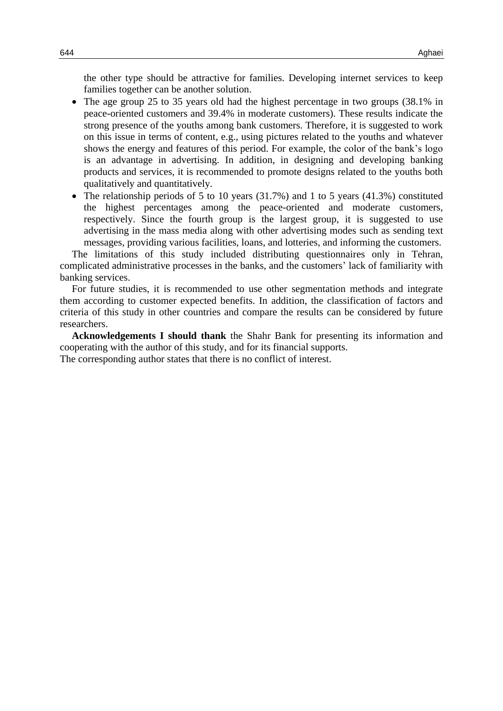the other type should be attractive for families. Developing internet services to keep families together can be another solution.

- The age group 25 to 35 years old had the highest percentage in two groups (38.1% in peace-oriented customers and 39.4% in moderate customers). These results indicate the strong presence of the youths among bank customers. Therefore, it is suggested to work on this issue in terms of content, e.g., using pictures related to the youths and whatever shows the energy and features of this period. For example, the color of the bank's logo is an advantage in advertising. In addition, in designing and developing banking products and services, it is recommended to promote designs related to the youths both qualitatively and quantitatively.
- The relationship periods of 5 to 10 years (31.7%) and 1 to 5 years (41.3%) constituted the highest percentages among the peace-oriented and moderate customers, respectively. Since the fourth group is the largest group, it is suggested to use advertising in the mass media along with other advertising modes such as sending text messages, providing various facilities, loans, and lotteries, and informing the customers.

The limitations of this study included distributing questionnaires only in Tehran, complicated administrative processes in the banks, and the customers' lack of familiarity with banking services.

For future studies, it is recommended to use other segmentation methods and integrate them according to customer expected benefits. In addition, the classification of factors and criteria of this study in other countries and compare the results can be considered by future researchers.

**Acknowledgements I should thank** the Shahr Bank for presenting its information and cooperating with the author of this study, and for its financial supports. The corresponding author states that there is no conflict of interest.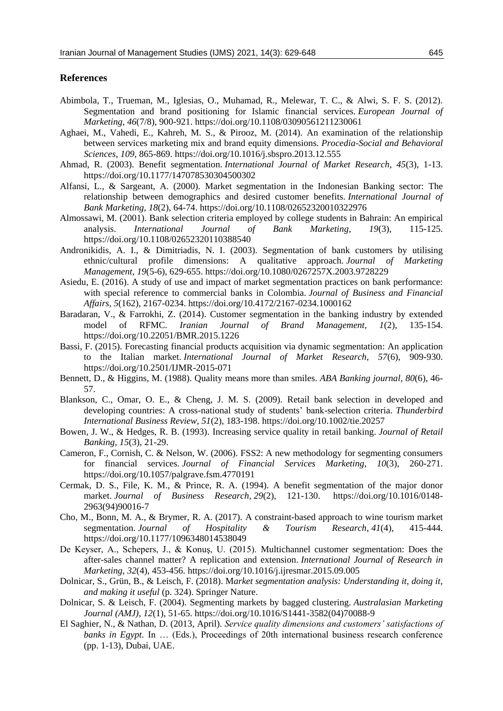### **References**

- <span id="page-16-0"></span>Abimbola, T., Trueman, M., Iglesias, O., Muhamad, R., Melewar, T. C., & Alwi, S. F. S. (2012). Segmentation and brand positioning for Islamic financial services. *European Journal of Marketing*, *46*(7/8), 900-921. https://doi.org/10.1108/03090561211230061
- <span id="page-16-7"></span>Aghaei, M., Vahedi, E., Kahreh, M. S., & Pirooz, M. (2014). An examination of the relationship between services marketing mix and brand equity dimensions. *Procedia-Social and Behavioral Sciences*, *109*, 865-869. https://doi.org/10.1016/j.sbspro.2013.12.555
- <span id="page-16-9"></span>Ahmad, R. (2003). Benefit segmentation. *International Journal of Market Research*, *45*(3), 1-13. https://doi.org/10.1177/147078530304500302
- Alfansi, L., & Sargeant, A. (2000). Market segmentation in the Indonesian Banking sector: The relationship between demographics and desired customer benefits. *International Journal of Bank Marketing*, *18*(2), 64-74. https://doi.org/10.1108/02652320010322976
- <span id="page-16-11"></span>Almossawi, M. (2001). Bank selection criteria employed by college students in Bahrain: An empirical analysis. *International Journal of Bank Marketing*, *19*(3), 115-125. https://doi.org/10.1108/02652320110388540
- <span id="page-16-5"></span>Andronikidis, A. I., & Dimitriadis, N. I. (2003). Segmentation of bank customers by utilising ethnic/cultural profile dimensions: A qualitative approach. *Journal of Marketing Management*, *19*(5-6), 629-655. https://doi.org/10.1080/0267257X.2003.9728229
- Asiedu, E. (2016). A study of use and impact of market segmentation practices on bank performance: with special reference to commercial banks in Colombia. *Journal of Business and Financial Affairs*, *5*(162), 2167-0234. https://doi.org/10.4172/2167-0234.1000162
- <span id="page-16-10"></span>Baradaran, V., & Farrokhi, Z. (2014). Customer segmentation in the banking industry by extended model of RFMC. *Iranian Journal of Brand Management, 1*(2), 135-154. https://doi.org/10.22051/BMR.2015.1226
- <span id="page-16-6"></span>Bassi, F. (2015). Forecasting financial products acquisition via dynamic segmentation: An application to the Italian market. *International Journal of Market Research*, *57*(6), 909-930. https://doi.org/10.2501/IJMR-2015-071
- <span id="page-16-3"></span>Bennett, D., & Higgins, M. (1988). Quality means more than smiles. *ABA Banking journal, 80*(6), 46- 57.
- <span id="page-16-12"></span>Blankson, C., Omar, O. E., & Cheng, J. M. S. (2009). Retail bank selection in developed and developing countries: A cross-national study of students' bank-selection criteria. *Thunderbird International Business Review*, *51*(2), 183-198. https://doi.org/10.1002/tie.20257
- <span id="page-16-4"></span>Bowen, J. W., & Hedges, R. B. (1993). Increasing service quality in retail banking. *Journal of Retail Banking*, *15*(3), 21-29.
- <span id="page-16-1"></span>Cameron, F., Cornish, C. & Nelson, W. (2006). FSS2: A new methodology for segmenting consumers for financial services. *Journal of Financial Services Marketing*, *10*(3), 260-271. https://doi.org/10.1057/palgrave.fsm.4770191
- Cermak, D. S., File, K. M., & Prince, R. A. (1994). A benefit segmentation of the major donor market. *Journal of Business Research*, *29*(2), 121-130. https://doi.org/10.1016/0148- 2963(94)90016-7
- Cho, M., Bonn, M. A., & Brymer, R. A. (2017). A constraint-based approach to wine tourism market segmentation. *Journal of Hospitality & Tourism Research*, *41*(4), 415-444. https://doi.org/10.1177/1096348014538049
- <span id="page-16-8"></span>De Keyser, A., Schepers, J., & Konuş, U. (2015). Multichannel customer segmentation: Does the after-sales channel matter? A replication and extension. *International Journal of Research in Marketing*, *32*(4), 453-456. https://doi.org/10.1016/j.ijresmar.2015.09.005
- Dolnicar, S., Grün, B., & Leisch, F. (2018). M*arket segmentation analysis: Understanding it, doing it, and making it useful* (p. 324). Springer Nature.
- <span id="page-16-2"></span>Dolnicar, S. & Leisch, F. (2004). Segmenting markets by bagged clustering. *Australasian Marketing Journal (AMJ)*, *12*(1), 51-65. https://doi.org/10.1016/S1441-3582(04)70088-9
- El Saghier, N., & Nathan, D. (2013, April). *Service quality dimensions and customers' satisfactions of banks in Egypt.* In ... (Eds.), Proceedings of 20th international business research conference (pp. 1-13), Dubai, UAE.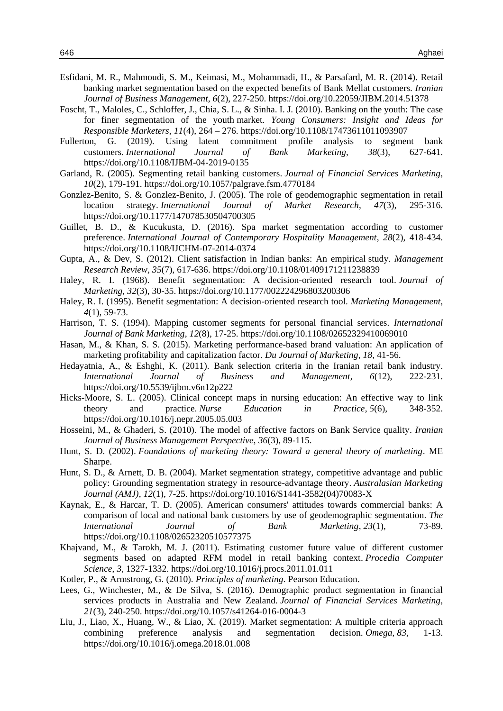- <span id="page-17-6"></span>Esfidani, M. R., Mahmoudi, S. M., Keimasi, M., Mohammadi, H., & Parsafard, M. R. (2014). Retail banking market segmentation based on the expected benefits of Bank Mellat customers. *Iranian Journal of Business Management*, *6*(2), 227-250. https://doi.org/10.22059/JIBM.2014.51378
- <span id="page-17-7"></span>Foscht, T., Maloles, C., Schloffer, J., Chia, S. L., & Sinha. I. J. (2010). Banking on the youth: The case for finer segmentation of the youth market. *Young Consumers: Insight and Ideas for Responsible Marketers*, *11*(4), 264 – 276. https://doi.org/10.1108/17473611011093907
- <span id="page-17-5"></span>Fullerton, G. (2019). Using latent commitment profile analysis to segment bank customers. *International Journal of Bank Marketing*, *38*(3), 627-641. https://doi.org/10.1108/IJBM-04-2019-0135
- <span id="page-17-14"></span>Garland, R. (2005). Segmenting retail banking customers. *Journal of Financial Services Marketing*, *10*(2), 179-191. https://doi.org/10.1057/palgrave.fsm.4770184
- Gonzlez-Benito, S. & Gonzlez-Benito, J. (2005). The role of geodemographic segmentation in retail location strategy. *International Journal of Market Research*, *47*(3), 295-316. https://doi.org/10.1177/147078530504700305
- <span id="page-17-0"></span>Guillet, B. D., & Kucukusta, D. (2016). Spa market segmentation according to customer preference. *International Journal of Contemporary Hospitality Management*, *28*(2), 418-434. https://doi.org/10.1108/IJCHM-07-2014-0374
- <span id="page-17-8"></span>Gupta, A., & Dev, S. (2012). Client satisfaction in Indian banks: An empirical study. *Management Research Review*, *35*(7), 617-636. https://doi.org/10.1108/01409171211238839
- <span id="page-17-12"></span>Haley, R. I. (1968). Benefit segmentation: A decision-oriented research tool. *Journal of Marketing*, *32*(3), 30-35. https://doi.org/10.1177/002224296803200306
- <span id="page-17-13"></span>Haley, R. I. (1995). Benefit segmentation: A decision-oriented research tool. *Marketing Management, 4*(1), 59-73.
- <span id="page-17-11"></span>Harrison, T. S. (1994). Mapping customer segments for personal financial services. *International Journal of Bank Marketing*, *12*(8), 17-25. https://doi.org/10.1108/02652329410069010
- <span id="page-17-10"></span>Hasan, M., & Khan, S. S. (2015). Marketing performance-based brand valuation: An application of marketing profitability and capitalization factor. *Du Journal of Marketing*, *18*, 41-56.
- <span id="page-17-16"></span>Hedayatnia, A., & Eshghi, K. (2011). Bank selection criteria in the Iranian retail bank industry. *International Journal of Business and Management*, *6*(12), 222-231. https://doi.org/10.5539/ijbm.v6n12p222
- <span id="page-17-15"></span>Hicks-Moore, S. L. (2005). Clinical concept maps in nursing education: An effective way to link theory and practice. *Nurse Education in Practice*, *5*(6), 348-352. https://doi.org/10.1016/j.nepr.2005.05.003
- <span id="page-17-17"></span>Hosseini, M., & Ghaderi, S. (2010). The model of affective factors on Bank Service quality. *Iranian Journal of Business Management Perspective*, *36*(3), 89-115.
- <span id="page-17-3"></span>Hunt, S. D. (2002). *Foundations of marketing theory: Toward a general theory of marketing*. ME Sharpe.
- <span id="page-17-4"></span>Hunt, S. D., & Arnett, D. B. (2004). Market segmentation strategy, competitive advantage and public policy: Grounding segmentation strategy in resource-advantage theory. *Australasian Marketing Journal (AMJ)*, *12*(1), 7-25. https://doi.org/10.1016/S1441-3582(04)70083-X
- <span id="page-17-9"></span>Kaynak, E., & Harcar, T. D. (2005). American consumers' attitudes towards commercial banks: A comparison of local and national bank customers by use of geodemographic segmentation. *The International Journal of Bank Marketing*, *23*(1), 73-89. https://doi.org/10.1108/02652320510577375
- Khajvand, M., & Tarokh, M. J. (2011). Estimating customer future value of different customer segments based on adapted RFM model in retail banking context. *Procedia Computer Science*, *3*, 1327-1332. https://doi.org/10.1016/j.procs.2011.01.011
- <span id="page-17-1"></span>Kotler, P., & Armstrong, G. (2010). *Principles of marketing*. Pearson Education.
- <span id="page-17-2"></span>Lees, G., Winchester, M., & De Silva, S. (2016). Demographic product segmentation in financial services products in Australia and New Zealand. *Journal of Financial Services Marketing*, *21*(3), 240-250. https://doi.org/10.1057/s41264-016-0004-3
- Liu, J., Liao, X., Huang, W., & Liao, X. (2019). Market segmentation: A multiple criteria approach combining preference analysis and segmentation decision. *Omega*, *83*, 1-13. https://doi.org/10.1016/j.omega.2018.01.008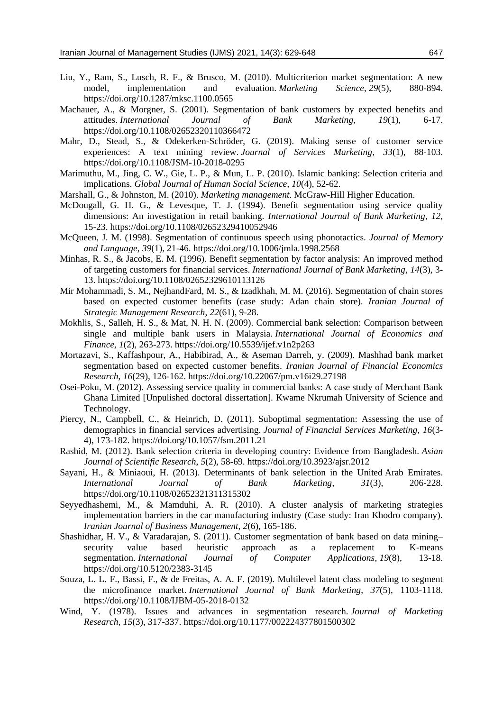- <span id="page-18-1"></span>Liu, Y., Ram, S., Lusch, R. F., & Brusco, M. (2010). Multicriterion market segmentation: A new model, implementation and evaluation. *Marketing Science*, *29*(5), 880-894. https://doi.org/10.1287/mksc.1100.0565
- <span id="page-18-12"></span>Machauer, A., & Morgner, S. (2001). Segmentation of bank customers by expected benefits and attitudes. *International Journal of Bank Marketing*, *19*(1), 6-17. https://doi.org/10.1108/02652320110366472
- <span id="page-18-5"></span>Mahr, D., Stead, S., & Odekerken-Schröder, G. (2019). Making sense of customer service experiences: A text mining review. *Journal of Services Marketing*, *33*(1), 88-103. https://doi.org/10.1108/JSM-10-2018-0295
- Marimuthu, M., Jing, C. W., Gie, L. P., & Mun, L. P. (2010). Islamic banking: Selection criteria and implications. *Global Journal of Human Social Science*, *10*(4), 52-62.
- <span id="page-18-6"></span>Marshall, G., & Johnston, M. (2010). *Marketing management*. McGraw-Hill Higher Education.
- <span id="page-18-8"></span>McDougall, G. H. G., & Levesque, T. J. (1994). Benefit segmentation using service quality dimensions: An investigation in retail banking. *International Journal of Bank Marketing*, *12*, 15-23. https://doi.org/10.1108/02652329410052946
- <span id="page-18-11"></span>McQueen, J. M. (1998). Segmentation of continuous speech using phonotactics. *Journal of Memory and Language*, *39*(1), 21-46. https://doi.org/10.1006/jmla.1998.2568
- <span id="page-18-7"></span>Minhas, R. S., & Jacobs, E. M. (1996). Benefit segmentation by factor analysis: An improved method of targeting customers for financial services. *International Journal of Bank Marketing, 14*(3), 3- 13. https://doi.org/10.1108/02652329610113126
- Mir Mohammadi, S. M., NejhandFard, M. S., & Izadkhah, M. M. (2016). Segmentation of chain stores based on expected customer benefits (case study: Adan chain store). *Iranian Journal of Strategic Management Research*, *22*(61), 9-28.
- <span id="page-18-15"></span>Mokhlis, S., Salleh, H. S., & Mat, N. H. N. (2009). Commercial bank selection: Comparison between single and multiple bank users in Malaysia. *International Journal of Economics and Finance*, *1*(2), 263-273. https://doi.org/10.5539/ijef.v1n2p263
- <span id="page-18-9"></span>Mortazavi, S., Kaffashpour, A., Habibirad, A., & Aseman Darreh, y. (2009). Mashhad bank market segmentation based on expected customer benefits. *Iranian Journal of Financial Economics Research*, *16*(29), 126-162. https://doi.org/10.22067/pm.v16i29.27198
- <span id="page-18-2"></span>Osei-Poku, M. (2012). Assessing service quality in commercial banks: A case study of Merchant Bank Ghana Limited [Unpulished doctoral dissertation]. Kwame Nkrumah University of Science and Technology.
- <span id="page-18-3"></span>Piercy, N., Campbell, C., & Heinrich, D. (2011). Suboptimal segmentation: Assessing the use of demographics in financial services advertising. *Journal of Financial Services Marketing*, *16*(3- 4), 173-182. https://doi.org/10.1057/fsm.2011.21
- Rashid, M. (2012). Bank selection criteria in developing country: Evidence from Bangladesh. *Asian Journal of Scientific Research*, *5*(2), 58-69. https://doi.org/10.3923/ajsr.2012
- <span id="page-18-4"></span>Sayani, H., & Miniaoui, H. (2013). Determinants of bank selection in the United Arab Emirates. *International Journal of Bank Marketing*, *31*(3), 206-228. https://doi.org/10.1108/02652321311315302
- <span id="page-18-10"></span>Seyyedhashemi, M., & Mamduhi, A. R. (2010). A cluster analysis of marketing strategies implementation barriers in the car manufacturing industry (Case study: Iran Khodro company). *Iranian Journal of Business Management*, *2*(6), 165-186.
- <span id="page-18-13"></span>Shashidhar, H. V., & Varadarajan, S. (2011). Customer segmentation of bank based on data mining– security value based heuristic approach as a replacement to K-means segmentation. *International Journal of Computer Applications*, *19*(8), 13-18. https://doi.org/10.5120/2383-3145
- <span id="page-18-14"></span>Souza, L. L. F., Bassi, F., & de Freitas, A. A. F. (2019). Multilevel latent class modeling to segment the microfinance market. *International Journal of Bank Marketing*, *37*(5), 1103-1118. https://doi.org/10.1108/IJBM-05-2018-0132
- <span id="page-18-0"></span>Wind, Y. (1978). Issues and advances in segmentation research. *Journal of Marketing Research*, *15*(3), 317-337. https://doi.org/10.1177/002224377801500302